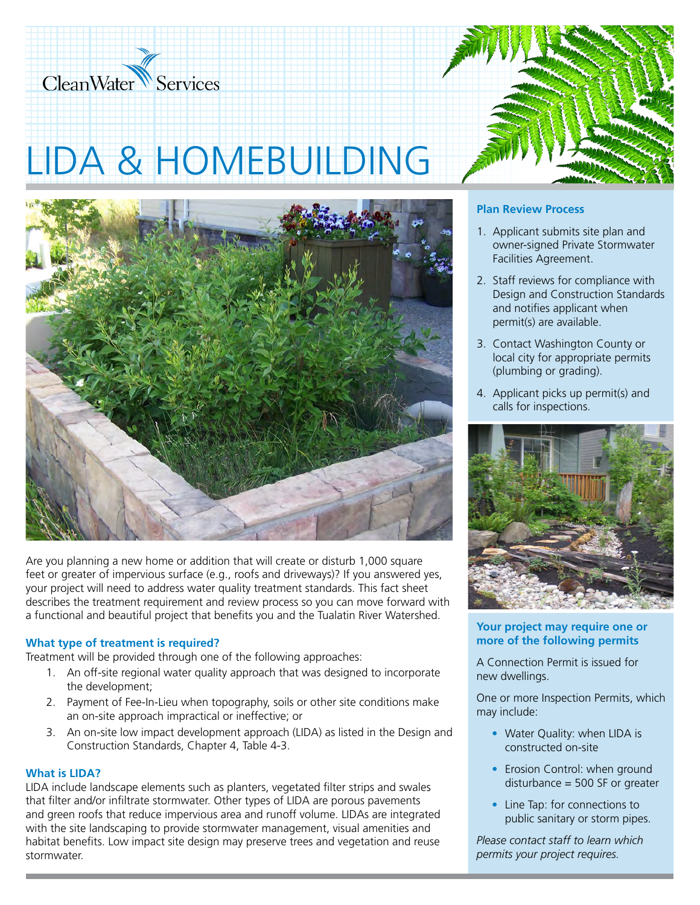

# LIDA & HOMEBUILDING



Are you planning a new home or addition that will create or disturb 1,000 square feet or greater of impervious surface (e.g., roofs and driveways)? If you answered yes, your project will need to address water quality treatment standards. This fact sheet describes the treatment requirement and review process so you can move forward with a functional and beautiful project that benefits you and the Tualatin River Watershed.

#### **What type of treatment is required?**

Treatment will be provided through one of the following approaches:

- 1. An off-site regional water quality approach that was designed to incorporate the development;
- 2. Payment of Fee-In-Lieu when topography, soils or other site conditions make an on-site approach impractical or ineffective; or
- 3. An on-site low impact development approach (LIDA) as listed in the Design and Construction Standards, Chapter 4, Table 4-3.

### **What is LIDA?**

LIDA include landscape elements such as planters, vegetated filter strips and swales that filter and/or infiltrate stormwater. Other types of LIDA are porous pavements and green roofs that reduce impervious area and runoff volume. LIDAs are integrated with the site landscaping to provide stormwater management, visual amenities and habitat benefits. Low impact site design may preserve trees and vegetation and reuse stormwater.



## **Plan Review Process**

- 1. Applicant submits site plan and owner-signed Private Stormwater Facilities Agreement.
- 2. Staff reviews for compliance with Design and Construction Standards and notifies applicant when permit(s) are available.
- 3. Contact Washington County or local city for appropriate permits (plumbing or grading).
- 4. Applicant picks up permit(s) and calls for inspections.



#### **Your project may require one or more of the following permits**

A Connection Permit is issued for new dwellings.

One or more Inspection Permits, which may include:

- Water Quality: when LIDA is constructed on-site
- Erosion Control: when ground disturbance = 500 SF or greater
- Line Tap: for connections to public sanitary or storm pipes.

*Please contact staff to learn which permits your project requires.*